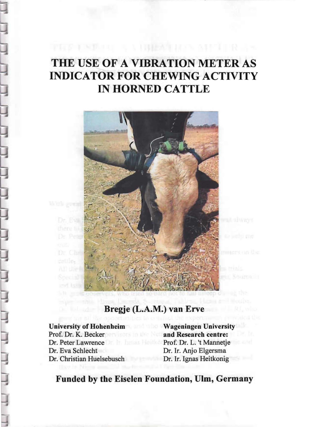# **THE USE OF A VIBRATION METER AS INDICATOR FOR CHEWING ACTIVITY IN HORNED CATTLE**



## **Bregje (L.A.M.) van Erve**

**University of Hohenheim Wageningen University**  Prof. Dr. K. Becker **and Research centre:**  Dr. Peter Lawrence Prof. Dr. L. 't Mannetje Dr. Eva Schlecht Dr. Ir. Anjo Elgersma Dr. Christian Huelsebusch Dr. Ir. Ignas Heitkonig

du me

## Funded by the Eiselen Foundation, Ulm, Germany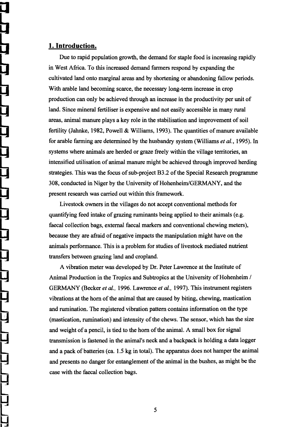### **1. Introduction.**

Due to rapid population growth, the demand for staple food is increasing rapidly in West Africa. To this increased demand farmers respond by expanding the cultivated land onto marginal areas and by shortening or abandoning fallow periods. With arable land becoming scarce, the necessary long-term increase in crop production can only be achieved through an increase in the productivity per unit of land. Since mineral fertiliser is expensive and not easily accessible in many rural areas, animal manure plays a key role in the stabilisation and improvement of soil fertility (Jahnke, 1982, Powell & Williams, 1993). The quantities of manure available for arable farming are determined by the husbandry system (Williams *et al.,* 1995). In systems where animals are herded or graze freely within the village territories, an intensified utilisation of animal manure might be achieved through improved herding strategies. This was the focus of sub-project B3.2 of the Special Research programme 308, conducted in Niger by the University of Hohenheim/GERMANY, and the present research was carried out within this framework.

Livestock owners in the villages do not accept conventional methods for quantifying feed intake of grazing ruminants being applied to their animals (e.g. faecal collection bags, external faecal markers and conventional chewing meters), because they are afraid of negative impacts the manipulation might have on the animals performance. This is a problem for studies of livestock mediated nutrient transfers between grazing land and cropland.

A vibration meter was developed by Dr. Peter Lawrence at the Institute of Animal Production in the Tropics and Subtropics at the University of Hohenheim / GERMANY (Becker *et* al., 1996. Lawrence *et al.,* 1997). This instrument registers vibrations at the horn of the animal that are caused by biting, chewing, mastication and rumination. The registered vibration pattern contains information on the type (mastication, rumination) and intensity of the chews. The sensor, which has the size and weight of a pencil, is tied to the horn of the animal. A small box for signal transmission is fastened in the animal's neck and a backpack is holding a data logger and a pack of batteries (ca. 1.5 kg in total). The apparatus does not hamper the animal and presents no danger for entanglement of the animal in the bushes, as might be the case with the faecal collection bags.

5